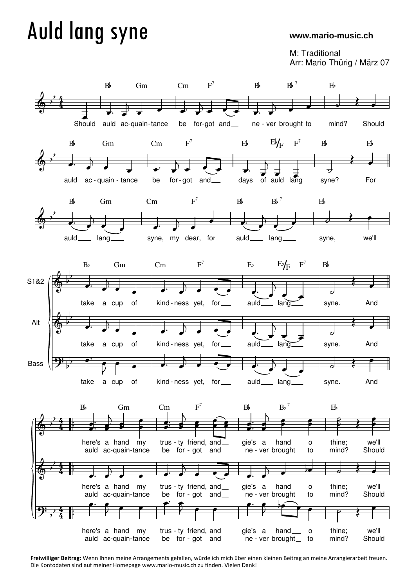## Auld lang syne

## **www.mario-music.ch**

M: Traditional Arr: Mario Thürig / März 07



**Freiwilliger Beitrag:** Wenn Ihnen meine Arrangements gefallen, würde ich mich über einen kleinen Beitrag an meine Arrangierarbeit freuen. Die Kontodaten sind auf meiner Homepage www.mario-music.ch zu finden. Vielen Dank!